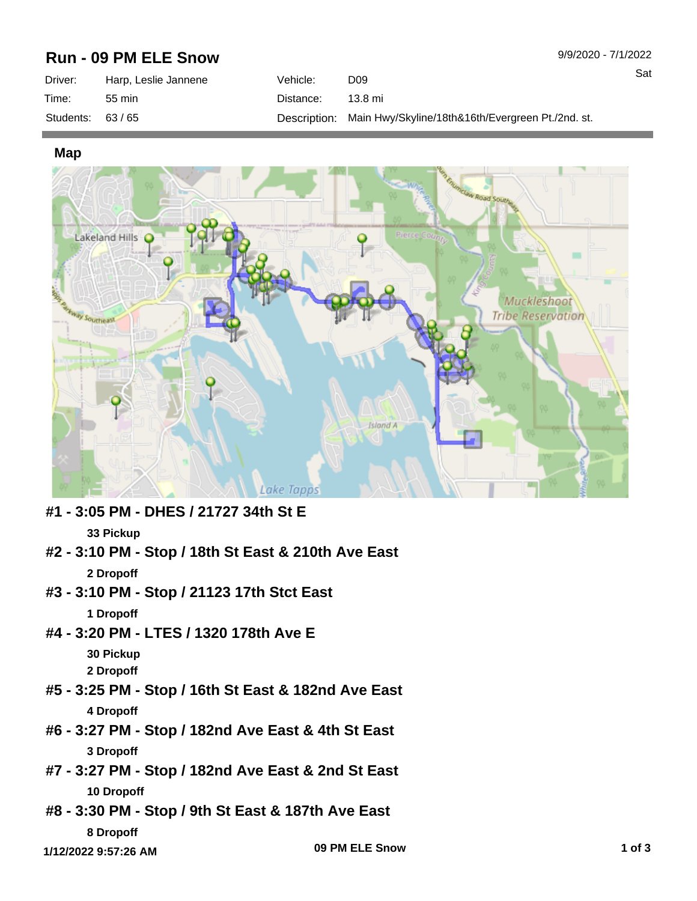## **Run - 09 PM ELE Snow**

| Driver:           | Harp, Leslie Jannene | Vehicle:  | D <sub>09</sub>                                                |
|-------------------|----------------------|-----------|----------------------------------------------------------------|
| Time:             | 55 min               | Distance: | 13.8 mi                                                        |
| Students: $63/65$ |                      |           | Description: Main Hwy/Skyline/18th&16th/Evergreen Pt./2nd. st. |

## **Map**



**#1 - 3:05 PM - DHES / 21727 34th St E**

## **33 Pickup**

- **#2 3:10 PM Stop / 18th St East & 210th Ave East 2 Dropoff**
- **#3 3:10 PM Stop / 21123 17th Stct East**

**1 Dropoff**

- **#4 3:20 PM LTES / 1320 178th Ave E**
	- **30 Pickup**

**2 Dropoff**

- **#5 3:25 PM Stop / 16th St East & 182nd Ave East 4 Dropoff**
- **#6 3:27 PM Stop / 182nd Ave East & 4th St East 3 Dropoff**
- **#7 3:27 PM Stop / 182nd Ave East & 2nd St East 10 Dropoff**
- **#8 3:30 PM Stop / 9th St East & 187th Ave East 8 Dropoff**

**1 of 3 1/12/2022 9:57:26 AM 09 PM ELE Snow**